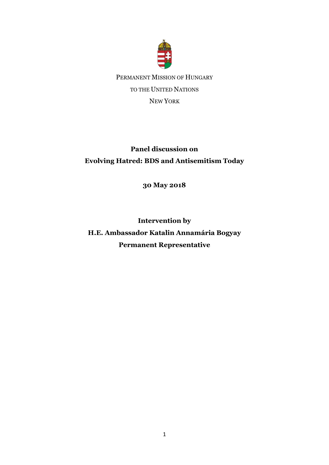

## **Panel discussion on Evolving Hatred: BDS and Antisemitism Today**

**30 May 2018**

**Intervention by H.E. Ambassador Katalin Annamária Bogyay Permanent Representative**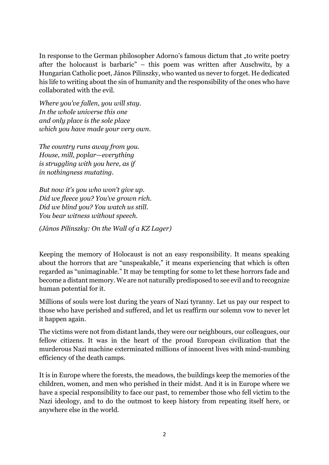In response to the German philosopher Adorno's famous dictum that "to write poetry after the holocaust is barbaric" – this poem was written after Auschwitz, by a Hungarian Catholic poet, János Pilinszky, who wanted us never to forget. He dedicated his life to writing about the sin of humanity and the responsibility of the ones who have collaborated with the evil.

*Where you've fallen, you will stay. In the whole universe this one and only place is the sole place which you have made your very own.*

*The country runs away from you. House, mill, poplar—everything is struggling with you here, as if in nothingness mutating.*

*But now it's you who won't give up. Did we fleece you? You've grown rich. Did we blind you? You watch us still. You bear witness without speech.*

*(János Pilinszky: On the Wall of a KZ Lager)*

Keeping the memory of Holocaust is not an easy responsibility. It means speaking about the horrors that are "unspeakable," it means experiencing that which is often regarded as "unimaginable." It may be tempting for some to let these horrors fade and become a distant memory. We are not naturally predisposed to see evil and to recognize human potential for it.

Millions of souls were lost during the years of Nazi tyranny. Let us pay our respect to those who have perished and suffered, and let us reaffirm our solemn vow to never let it happen again.

The victims were not from distant lands, they were our neighbours, our colleagues, our fellow citizens. It was in the heart of the proud European civilization that the murderous Nazi machine exterminated millions of innocent lives with mind-numbing efficiency of the death camps.

It is in Europe where the forests, the meadows, the buildings keep the memories of the children, women, and men who perished in their midst. And it is in Europe where we have a special responsibility to face our past, to remember those who fell victim to the Nazi ideology, and to do the outmost to keep history from repeating itself here, or anywhere else in the world.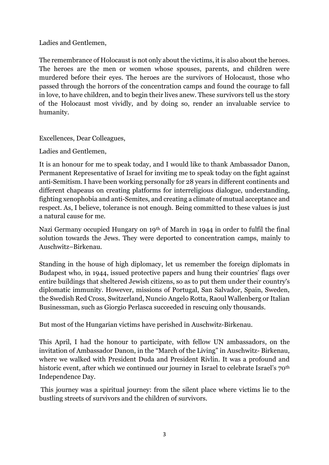Ladies and Gentlemen,

The remembrance of Holocaust is not only about the victims, it is also about the heroes. The heroes are the men or women whose spouses, parents, and children were murdered before their eyes. The heroes are the survivors of Holocaust, those who passed through the horrors of the concentration camps and found the courage to fall in love, to have children, and to begin their lives anew. These survivors tell us the story of the Holocaust most vividly, and by doing so, render an invaluable service to humanity.

Excellences, Dear Colleagues,

Ladies and Gentlemen,

It is an honour for me to speak today, and I would like to thank Ambassador Danon, Permanent Representative of Israel for inviting me to speak today on the fight against anti-Semitism. I have been working personally for 28 years in different continents and different chapeaus on creating platforms for interreligious dialogue, understanding, fighting xenophobia and anti-Semites, and creating a climate of mutual acceptance and respect. As, I believe, tolerance is not enough. Being committed to these values is just a natural cause for me.

Nazi Germany occupied Hungary on 19th of March in 1944 in order to fulfil the final solution towards the Jews. They were deported to concentration camps, mainly to Auschwitz–Birkenau.

Standing in the house of high diplomacy, let us remember the foreign diplomats in Budapest who, in 1944, issued protective papers and hung their countries' flags over entire buildings that sheltered Jewish citizens, so as to put them under their country's diplomatic immunity. However, missions of Portugal, San Salvador, Spain, Sweden, the Swedish Red Cross, Switzerland, Nuncio Angelo Rotta, Raoul Wallenberg or Italian Businessman, such as Giorgio Perlasca succeeded in rescuing only thousands.

But most of the Hungarian victims have perished in Auschwitz-Birkenau.

This April, I had the honour to participate, with fellow UN ambassadors, on the invitation of Ambassador Danon, in the "March of the Living" in Auschwitz- Birkenau, where we walked with President Duda and President Rivlin. It was a profound and historic event, after which we continued our journey in Israel to celebrate Israel's 70<sup>th</sup> Independence Day.

This journey was a spiritual journey: from the silent place where victims lie to the bustling streets of survivors and the children of survivors.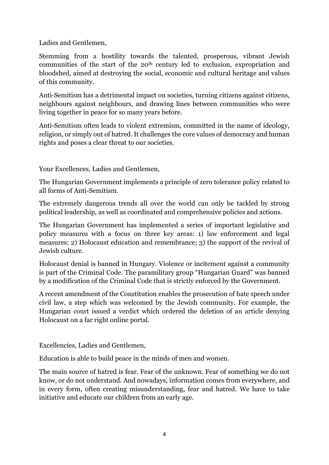Ladies and Gentlemen,

Stemming from a hostility towards the talented, prosperous, vibrant Jewish communities of the start of the 20th century led to exclusion, expropriation and bloodshed, aimed at destroying the social, economic and cultural heritage and values of this community.

Anti-Semitism has a detrimental impact on societies, turning citizens against citizens, neighbours against neighbours, and drawing lines between communities who were living together in peace for so many years before.

Anti-Semitism often leads to violent extremism, committed in the name of ideology, religion, or simply out of hatred. It challenges the core values of democracy and human rights and poses a clear threat to our societies.

Your Excellences, Ladies and Gentlemen,

The Hungarian Government implements a principle of zero tolerance policy related to all forms of Anti-Semitism.

The extremely dangerous trends all over the world can only be tackled by strong political leadership, as well as coordinated and comprehensive policies and actions.

The Hungarian Government has implemented a series of important legislative and policy measures with a focus on three key areas: 1) law enforcement and legal measures; 2) Holocaust education and remembrance; 3) the support of the revival of Jewish culture.

Holocaust denial is banned in Hungary. Violence or incitement against a community is part of the Criminal Code. The paramilitary group "Hungarian Guard" was banned by a modification of the Criminal Code that is strictly enforced by the Government.

A recent amendment of the Constitution enables the prosecution of hate speech under civil law, a step which was welcomed by the Jewish community. For example, the Hungarian court issued a verdict which ordered the deletion of an article denying Holocaust on a far right online portal.

Excellencies, Ladies and Gentlemen,

Education is able to build peace in the minds of men and women.

The main source of hatred is fear. Fear of the unknown. Fear of something we do not know, or do not understand. And nowadays, information comes from everywhere, and in every form, often creating misunderstanding, fear and hatred. We have to take initiative and educate our children from an early age.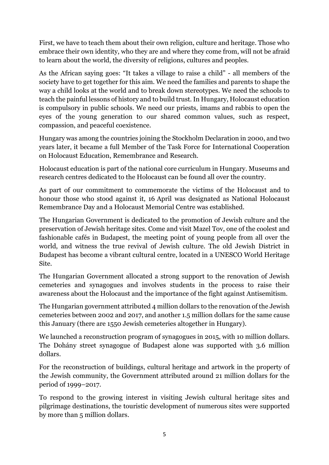First, we have to teach them about their own religion, culture and heritage. Those who embrace their own identity, who they are and where they come from, will not be afraid to learn about the world, the diversity of religions, cultures and peoples.

As the African saying goes: "It takes a village to raise a child" - all members of the society have to get together for this aim. We need the families and parents to shape the way a child looks at the world and to break down stereotypes. We need the schools to teach the painful lessons of history and to build trust. In Hungary, Holocaust education is compulsory in public schools. We need our priests, imams and rabbis to open the eyes of the young generation to our shared common values, such as respect, compassion, and peaceful coexistence.

Hungary was among the countries joining the Stockholm Declaration in 2000, and two years later, it became a full Member of the Task Force for International Cooperation on Holocaust Education, Remembrance and Research.

Holocaust education is part of the national core curriculum in Hungary. Museums and research centres dedicated to the Holocaust can be found all over the country.

As part of our commitment to commemorate the victims of the Holocaust and to honour those who stood against it, 16 April was designated as National Holocaust Remembrance Day and a Holocaust Memorial Centre was established.

The Hungarian Government is dedicated to the promotion of Jewish culture and the preservation of Jewish heritage sites. Come and visit Mazel Tov, one of the coolest and fashionable cafés in Budapest, the meeting point of young people from all over the world, and witness the true revival of Jewish culture. The old Jewish District in Budapest has become a vibrant cultural centre, located in a UNESCO World Heritage Site.

The Hungarian Government allocated a strong support to the renovation of Jewish cemeteries and synagogues and involves students in the process to raise their awareness about the Holocaust and the importance of the fight against Antisemitism.

The Hungarian government attributed 4 million dollars to the renovation of the Jewish cemeteries between 2002 and 2017, and another 1.5 million dollars for the same cause this January (there are 1550 Jewish cemeteries altogether in Hungary).

We launched a reconstruction program of synagogues in 2015, with 10 million dollars. The Dohány street synagogue of Budapest alone was supported with 3.6 million dollars.

For the reconstruction of buildings, cultural heritage and artwork in the property of the Jewish community, the Government attributed around 21 million dollars for the period of 1999–2017.

To respond to the growing interest in visiting Jewish cultural heritage sites and pilgrimage destinations, the touristic development of numerous sites were supported by more than 5 million dollars.